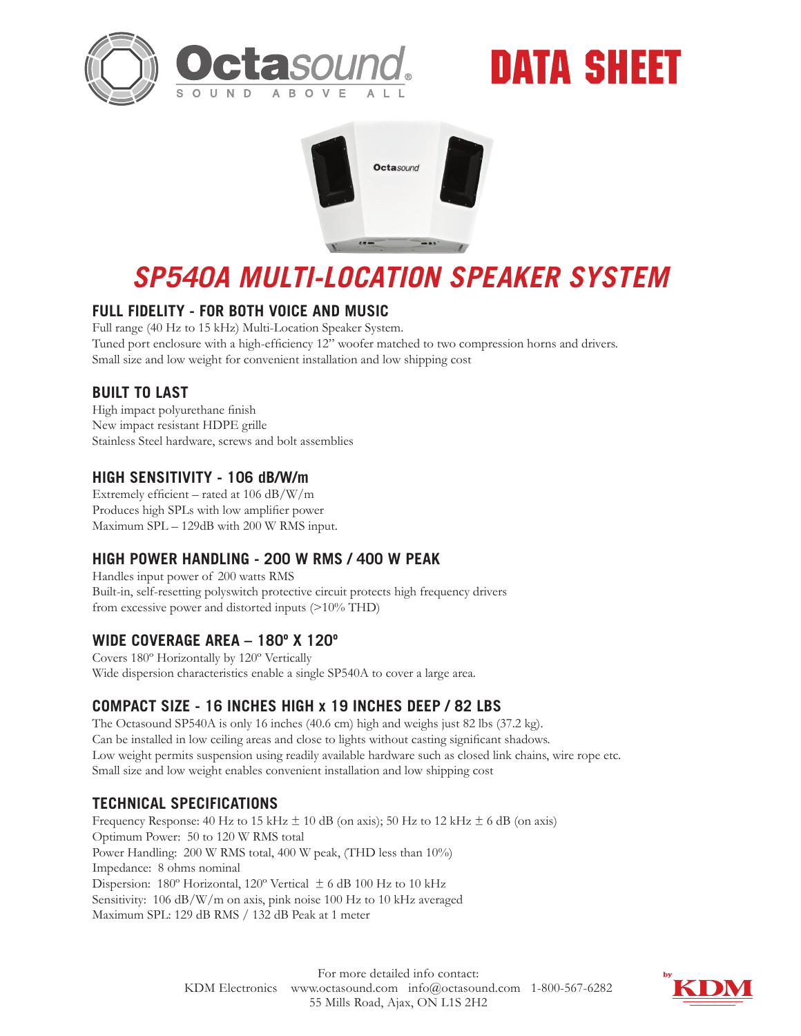

# DATA SHEET



## *SP540A MULTI-LOCATION SPEAKER SYSTEM*

### **FULL FIDELITY - FOR BOTH VOICE AND MUSIC**

Full range (40 Hz to 15 kHz) Multi-Location Speaker System. Tuned port enclosure with a high-efficiency 12" woofer matched to two compression horns and drivers. Small size and low weight for convenient installation and low shipping cost

#### **BUILT TO LAST**

High impact polyurethane finish New impact resistant HDPE grille Stainless Steel hardware, screws and bolt assemblies

### **HIGH SENSITIVITY - 106 dB/W/m**

Extremely efficient – rated at 106 dB/W/m Produces high SPLs with low amplifier power Maximum SPL – 129dB with 200 W RMS input.

### **HIGH POWER HANDLING - 200 W RMS / 400 W PEAK**

Handles input power of 200 watts RMS Built-in, self-resetting polyswitch protective circuit protects high frequency drivers from excessive power and distorted inputs (>10% THD)

### **WIDE COVERAGE AREA – 180º X 120º**

Covers 180º Horizontally by 120º Vertically Wide dispersion characteristics enable a single SP540A to cover a large area.

### **COMPACT SIZE - 16 INCHES HIGH x 19 INCHES DEEP / 82 LBS**

The Octasound SP540A is only 16 inches (40.6 cm) high and weighs just 82 lbs (37.2 kg). Can be installed in low ceiling areas and close to lights without casting significant shadows. Low weight permits suspension using readily available hardware such as closed link chains, wire rope etc. Small size and low weight enables convenient installation and low shipping cost

### **TECHNICAL SPECIFICATIONS**

Frequency Response: 40 Hz to 15 kHz  $\pm$  10 dB (on axis); 50 Hz to 12 kHz  $\pm$  6 dB (on axis) Optimum Power: 50 to 120 W RMS total Power Handling: 200 W RMS total, 400 W peak, (THD less than 10%) Impedance: 8 ohms nominal Dispersion: 180º Horizontal, 120º Vertical ± 6 dB 100 Hz to 10 kHz Sensitivity: 106 dB/W/m on axis, pink noise 100 Hz to 10 kHz averaged Maximum SPL: 129 dB RMS / 132 dB Peak at 1 meter